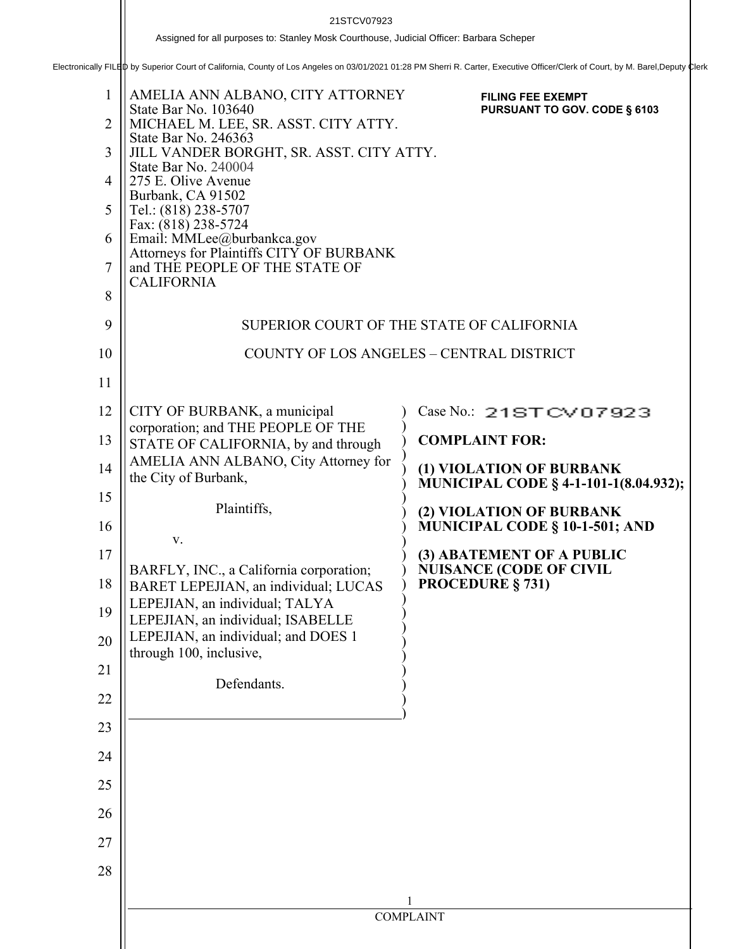21STCV07923<br>Assigned for all purposes to: Stanley Mosk Courthouse, Judicial Officer: Barbara Scheper<br>Electronically FILED by Superior Court of California, County of Los Angeles on 03/01/2021 01:28 PM Sherri R. Carter, Exec

| 1<br>$\overline{2}$<br>3<br>$\overline{4}$<br>5<br>6<br>$\overline{7}$<br>8 | AMELIA ANN ALBANO, CITY ATTORNEY<br>State Bar No. 103640<br>MICHAEL M. LEE, SR. ASST. CITY ATTY.<br>State Bar No. 246363<br>JILL VANDER BORGHT, SR. ASST. CITY ATTY.<br>State Bar No. 240004<br>275 E. Olive Avenue<br>Burbank, CA 91502<br>Tel.: (818) 238-5707<br>Fax: (818) 238-5724<br>Email: MMLee@burbankca.gov<br>Attorneys for Plaintiffs CITY OF BURBANK<br>and THE PEOPLE OF THE STATE OF<br><b>CALIFORNIA</b> | <b>FILING FEE EXEMPT</b><br>PURSUANT TO GOV. CODE § 6103                 |
|-----------------------------------------------------------------------------|--------------------------------------------------------------------------------------------------------------------------------------------------------------------------------------------------------------------------------------------------------------------------------------------------------------------------------------------------------------------------------------------------------------------------|--------------------------------------------------------------------------|
| 9                                                                           |                                                                                                                                                                                                                                                                                                                                                                                                                          | SUPERIOR COURT OF THE STATE OF CALIFORNIA                                |
| 10                                                                          |                                                                                                                                                                                                                                                                                                                                                                                                                          | <b>COUNTY OF LOS ANGELES - CENTRAL DISTRICT</b>                          |
| 11                                                                          |                                                                                                                                                                                                                                                                                                                                                                                                                          |                                                                          |
| 12                                                                          | CITY OF BURBANK, a municipal                                                                                                                                                                                                                                                                                                                                                                                             | Case No.: 21STCV07923                                                    |
| 13                                                                          | corporation; and THE PEOPLE OF THE<br>STATE OF CALIFORNIA, by and through                                                                                                                                                                                                                                                                                                                                                | <b>COMPLAINT FOR:</b>                                                    |
| 14                                                                          | AMELIA ANN ALBANO, City Attorney for<br>the City of Burbank,                                                                                                                                                                                                                                                                                                                                                             | (1) VIOLATION OF BURBANK<br><b>MUNICIPAL CODE § 4-1-101-1(8.04.932);</b> |
| 15                                                                          | Plaintiffs,                                                                                                                                                                                                                                                                                                                                                                                                              | (2) VIOLATION OF BURBANK                                                 |
| 16                                                                          | V.                                                                                                                                                                                                                                                                                                                                                                                                                       | MUNICIPAL CODE § 10-1-501; AND                                           |
| 17                                                                          | BARFLY, INC., a California corporation;                                                                                                                                                                                                                                                                                                                                                                                  | (3) ABATEMENT OF A PUBLIC<br><b>NUISANCE (CODE OF CIVIL</b>              |
| 18                                                                          | BARET LEPEJIAN, an individual; LUCAS<br>LEPEJIAN, an individual; TALYA                                                                                                                                                                                                                                                                                                                                                   | <b>PROCEDURE § 731)</b>                                                  |
| 19                                                                          | LEPEJIAN, an individual; ISABELLE                                                                                                                                                                                                                                                                                                                                                                                        |                                                                          |
| 20                                                                          | LEPEJIAN, an individual; and DOES 1<br>through 100, inclusive,                                                                                                                                                                                                                                                                                                                                                           |                                                                          |
| 21                                                                          | Defendants.                                                                                                                                                                                                                                                                                                                                                                                                              |                                                                          |
| 22                                                                          |                                                                                                                                                                                                                                                                                                                                                                                                                          |                                                                          |
| 23                                                                          |                                                                                                                                                                                                                                                                                                                                                                                                                          |                                                                          |
| 24                                                                          |                                                                                                                                                                                                                                                                                                                                                                                                                          |                                                                          |
| 25                                                                          |                                                                                                                                                                                                                                                                                                                                                                                                                          |                                                                          |
| 26                                                                          |                                                                                                                                                                                                                                                                                                                                                                                                                          |                                                                          |
| 27                                                                          |                                                                                                                                                                                                                                                                                                                                                                                                                          |                                                                          |
| 28                                                                          |                                                                                                                                                                                                                                                                                                                                                                                                                          |                                                                          |
|                                                                             |                                                                                                                                                                                                                                                                                                                                                                                                                          | <b>COMPLAINT</b>                                                         |
|                                                                             |                                                                                                                                                                                                                                                                                                                                                                                                                          |                                                                          |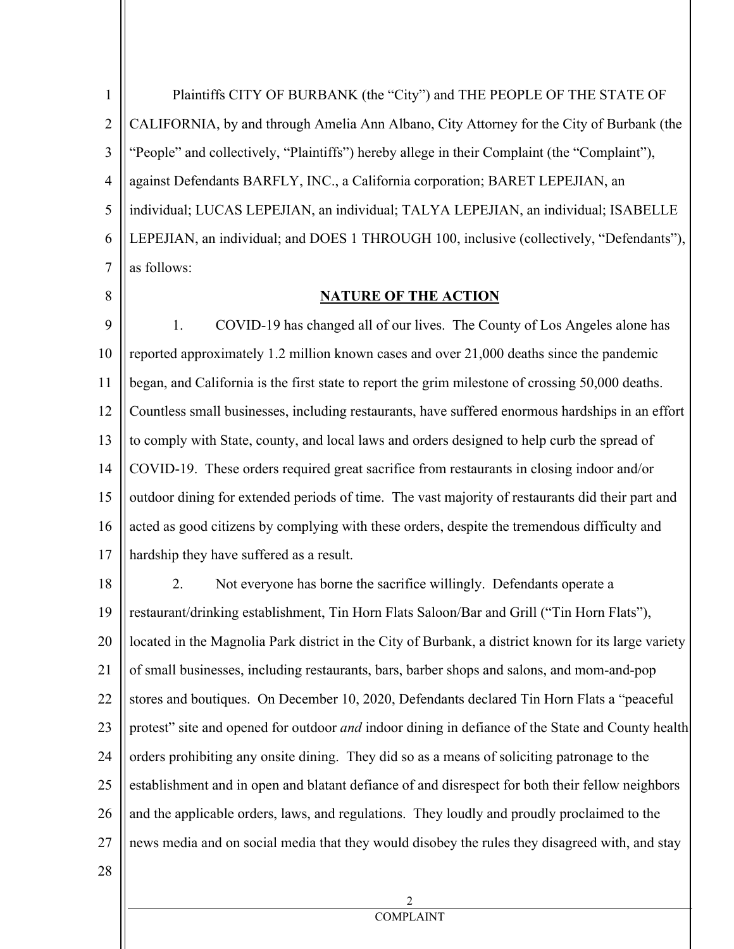1 2 3 4 5 6 7 Plaintiffs CITY OF BURBANK (the "City") and THE PEOPLE OF THE STATE OF CALIFORNIA, by and through Amelia Ann Albano, City Attorney for the City of Burbank (the "People" and collectively, "Plaintiffs") hereby allege in their Complaint (the "Complaint"), against Defendants BARFLY, INC., a California corporation; BARET LEPEJIAN, an individual; LUCAS LEPEJIAN, an individual; TALYA LEPEJIAN, an individual; ISABELLE LEPEJIAN, an individual; and DOES 1 THROUGH 100, inclusive (collectively, "Defendants"), as follows:

8

### **NATURE OF THE ACTION**

9 10 11 12 13 14 15 16 17 1. COVID-19 has changed all of our lives. The County of Los Angeles alone has reported approximately 1.2 million known cases and over 21,000 deaths since the pandemic began, and California is the first state to report the grim milestone of crossing 50,000 deaths. Countless small businesses, including restaurants, have suffered enormous hardships in an effort to comply with State, county, and local laws and orders designed to help curb the spread of COVID-19. These orders required great sacrifice from restaurants in closing indoor and/or outdoor dining for extended periods of time. The vast majority of restaurants did their part and acted as good citizens by complying with these orders, despite the tremendous difficulty and hardship they have suffered as a result.

18 19 20 21 22 23 24 25 26 27 2. Not everyone has borne the sacrifice willingly. Defendants operate a restaurant/drinking establishment, Tin Horn Flats Saloon/Bar and Grill ("Tin Horn Flats"), located in the Magnolia Park district in the City of Burbank, a district known for its large variety of small businesses, including restaurants, bars, barber shops and salons, and mom-and-pop stores and boutiques. On December 10, 2020, Defendants declared Tin Horn Flats a "peaceful protest" site and opened for outdoor *and* indoor dining in defiance of the State and County health orders prohibiting any onsite dining. They did so as a means of soliciting patronage to the establishment and in open and blatant defiance of and disrespect for both their fellow neighbors and the applicable orders, laws, and regulations. They loudly and proudly proclaimed to the news media and on social media that they would disobey the rules they disagreed with, and stay

28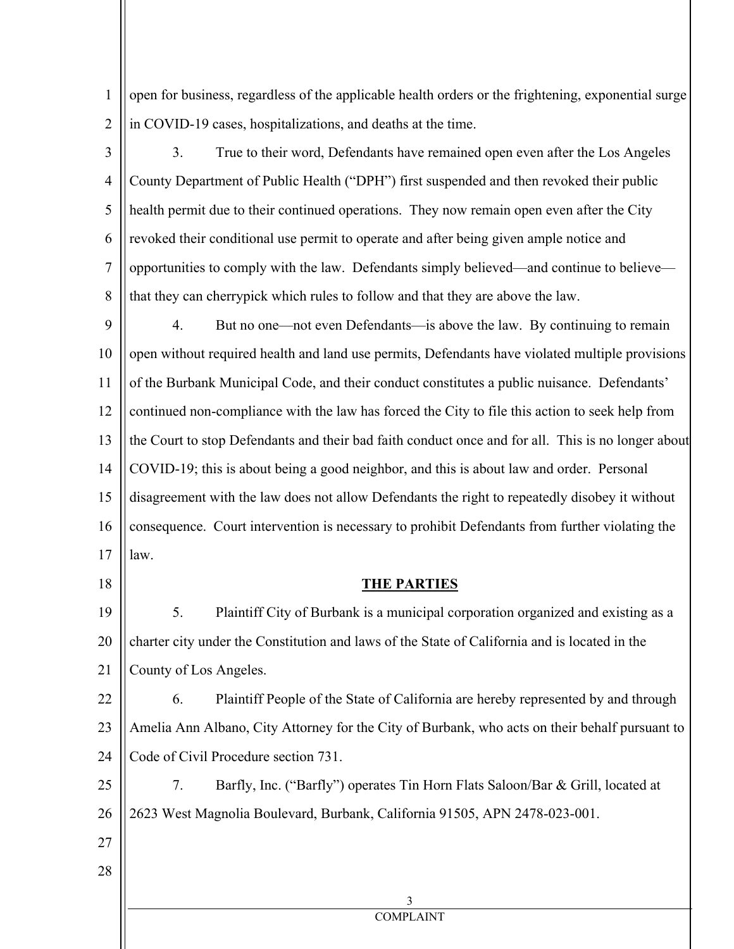1 2 open for business, regardless of the applicable health orders or the frightening, exponential surge in COVID-19 cases, hospitalizations, and deaths at the time.

3 4 5 6 7 8 3. True to their word, Defendants have remained open even after the Los Angeles County Department of Public Health ("DPH") first suspended and then revoked their public health permit due to their continued operations. They now remain open even after the City revoked their conditional use permit to operate and after being given ample notice and opportunities to comply with the law. Defendants simply believed—and continue to believe that they can cherrypick which rules to follow and that they are above the law.

9 10 11 12 13 14 15 16 17 4. But no one—not even Defendants—is above the law. By continuing to remain open without required health and land use permits, Defendants have violated multiple provisions of the Burbank Municipal Code, and their conduct constitutes a public nuisance. Defendants' continued non-compliance with the law has forced the City to file this action to seek help from the Court to stop Defendants and their bad faith conduct once and for all. This is no longer about COVID-19; this is about being a good neighbor, and this is about law and order. Personal disagreement with the law does not allow Defendants the right to repeatedly disobey it without consequence. Court intervention is necessary to prohibit Defendants from further violating the law.

18

#### **THE PARTIES**

19 20 21 5. Plaintiff City of Burbank is a municipal corporation organized and existing as a charter city under the Constitution and laws of the State of California and is located in the County of Los Angeles.

22 23 24 6. Plaintiff People of the State of California are hereby represented by and through Amelia Ann Albano, City Attorney for the City of Burbank, who acts on their behalf pursuant to Code of Civil Procedure section 731.

25 26 7. Barfly, Inc. ("Barfly") operates Tin Horn Flats Saloon/Bar & Grill, located at 2623 West Magnolia Boulevard, Burbank, California 91505, APN 2478-023-001.

- 27
- 28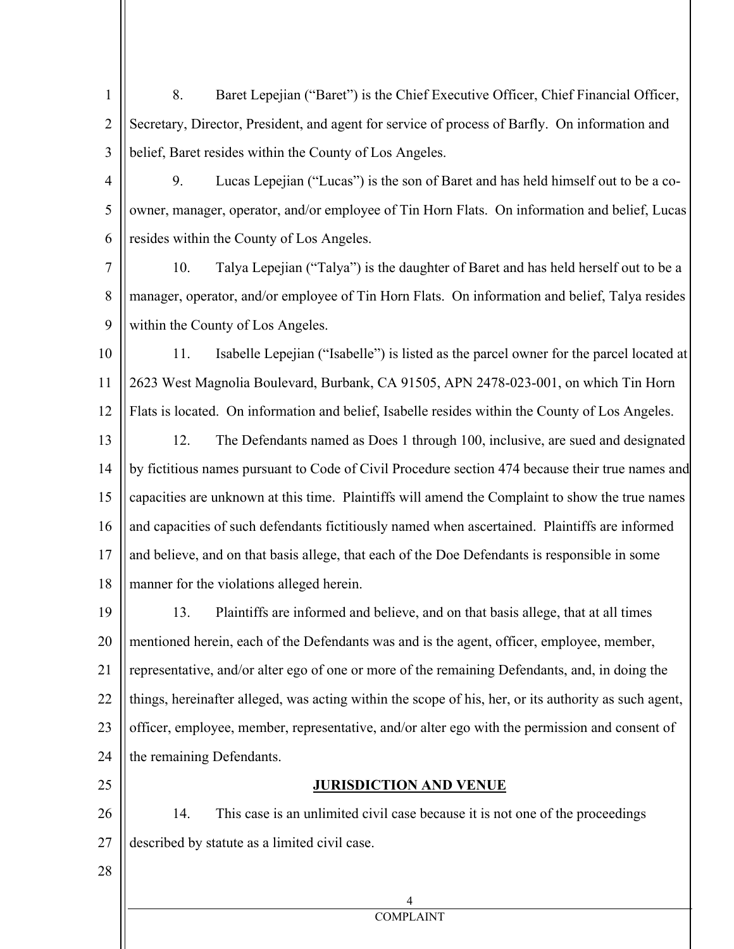- 1 2 3 8. Baret Lepejian ("Baret") is the Chief Executive Officer, Chief Financial Officer, Secretary, Director, President, and agent for service of process of Barfly. On information and belief, Baret resides within the County of Los Angeles.
- 4

5 6 9. Lucas Lepejian ("Lucas") is the son of Baret and has held himself out to be a coowner, manager, operator, and/or employee of Tin Horn Flats. On information and belief, Lucas resides within the County of Los Angeles.

7 8 9 10. Talya Lepejian ("Talya") is the daughter of Baret and has held herself out to be a manager, operator, and/or employee of Tin Horn Flats. On information and belief, Talya resides within the County of Los Angeles.

10 11 12 13 14 15 11. Isabelle Lepejian ("Isabelle") is listed as the parcel owner for the parcel located at 2623 West Magnolia Boulevard, Burbank, CA 91505, APN 2478-023-001, on which Tin Horn Flats is located. On information and belief, Isabelle resides within the County of Los Angeles. 12. The Defendants named as Does 1 through 100, inclusive, are sued and designated by fictitious names pursuant to Code of Civil Procedure section 474 because their true names and capacities are unknown at this time. Plaintiffs will amend the Complaint to show the true names

16 17 18 and capacities of such defendants fictitiously named when ascertained. Plaintiffs are informed and believe, and on that basis allege, that each of the Doe Defendants is responsible in some manner for the violations alleged herein.

19 20 21 22 23 24 13. Plaintiffs are informed and believe, and on that basis allege, that at all times mentioned herein, each of the Defendants was and is the agent, officer, employee, member, representative, and/or alter ego of one or more of the remaining Defendants, and, in doing the things, hereinafter alleged, was acting within the scope of his, her, or its authority as such agent, officer, employee, member, representative, and/or alter ego with the permission and consent of the remaining Defendants.

25

# **JURISDICTION AND VENUE**

26 27 14. This case is an unlimited civil case because it is not one of the proceedings described by statute as a limited civil case.

28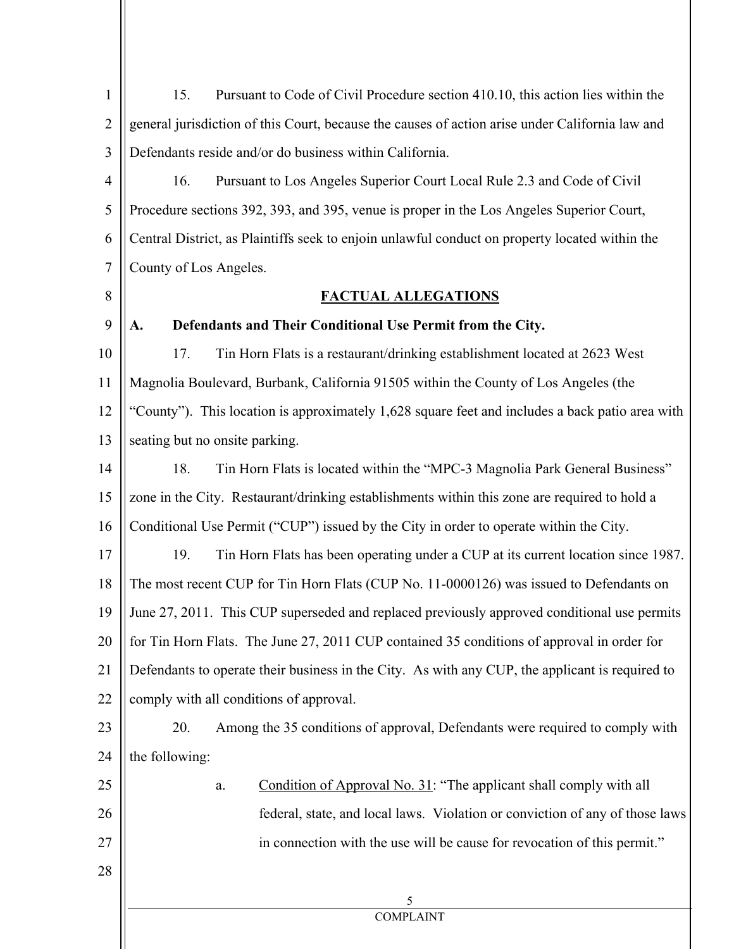| $\mathbf{1}$   | Pursuant to Code of Civil Procedure section 410.10, this action lies within the<br>15.          |
|----------------|-------------------------------------------------------------------------------------------------|
| $\overline{2}$ | general jurisdiction of this Court, because the causes of action arise under California law and |
| 3              | Defendants reside and/or do business within California.                                         |
| $\overline{4}$ | Pursuant to Los Angeles Superior Court Local Rule 2.3 and Code of Civil<br>16.                  |
| 5              | Procedure sections 392, 393, and 395, venue is proper in the Los Angeles Superior Court,        |
| 6              | Central District, as Plaintiffs seek to enjoin unlawful conduct on property located within the  |
| $\overline{7}$ | County of Los Angeles.                                                                          |
| 8              | <b>FACTUAL ALLEGATIONS</b>                                                                      |
| 9              | Defendants and Their Conditional Use Permit from the City.<br>A.                                |
| 10             | Tin Horn Flats is a restaurant/drinking establishment located at 2623 West<br>17.               |
| 11             | Magnolia Boulevard, Burbank, California 91505 within the County of Los Angeles (the             |
| 12             | "County"). This location is approximately 1,628 square feet and includes a back patio area with |
| 13             | seating but no onsite parking.                                                                  |
| 14             | Tin Horn Flats is located within the "MPC-3 Magnolia Park General Business"<br>18.              |
| 15             | zone in the City. Restaurant/drinking establishments within this zone are required to hold a    |
| 16             | Conditional Use Permit ("CUP") issued by the City in order to operate within the City.          |
| 17             | Tin Horn Flats has been operating under a CUP at its current location since 1987.<br>19.        |
| 18             | The most recent CUP for Tin Horn Flats (CUP No. 11-0000126) was issued to Defendants on         |
| 19             | June 27, 2011. This CUP superseded and replaced previously approved conditional use permits     |
| 20             | for Tin Horn Flats. The June 27, 2011 CUP contained 35 conditions of approval in order for      |
| 21             | Defendants to operate their business in the City. As with any CUP, the applicant is required to |
| 22             | comply with all conditions of approval.                                                         |
| 23             | 20.<br>Among the 35 conditions of approval, Defendants were required to comply with             |
| 24             | the following:                                                                                  |
| 25             | Condition of Approval No. 31: "The applicant shall comply with all<br>a.                        |
| 26             | federal, state, and local laws. Violation or conviction of any of those laws                    |
| 27             | in connection with the use will be cause for revocation of this permit."                        |
| 28             |                                                                                                 |
|                | 5                                                                                               |
|                | <b>COMPLAINT</b>                                                                                |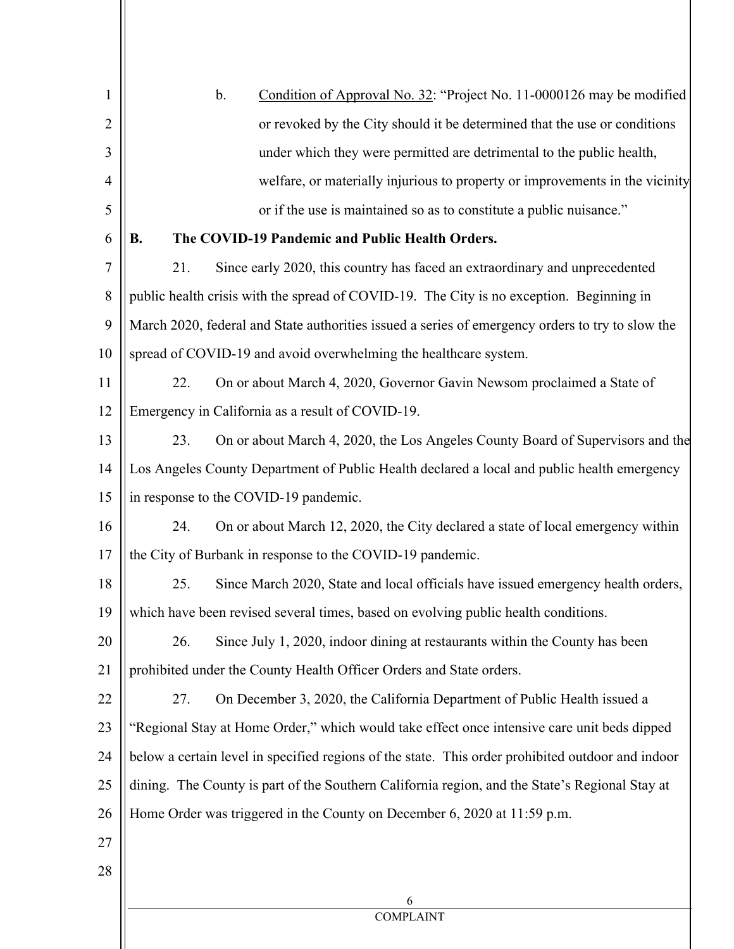| 1              | Condition of Approval No. 32: "Project No. 11-0000126 may be modified<br>$\mathbf b$ .            |
|----------------|---------------------------------------------------------------------------------------------------|
| $\overline{2}$ | or revoked by the City should it be determined that the use or conditions                         |
| 3              | under which they were permitted are detrimental to the public health,                             |
| $\overline{4}$ | welfare, or materially injurious to property or improvements in the vicinity                      |
| 5              | or if the use is maintained so as to constitute a public nuisance."                               |
| 6              | The COVID-19 Pandemic and Public Health Orders.<br><b>B.</b>                                      |
| $\overline{7}$ | Since early 2020, this country has faced an extraordinary and unprecedented<br>21.                |
| 8              | public health crisis with the spread of COVID-19. The City is no exception. Beginning in          |
| 9              | March 2020, federal and State authorities issued a series of emergency orders to try to slow the  |
| 10             | spread of COVID-19 and avoid overwhelming the healthcare system.                                  |
| 11             | 22.<br>On or about March 4, 2020, Governor Gavin Newsom proclaimed a State of                     |
| 12             | Emergency in California as a result of COVID-19.                                                  |
| 13             | 23.<br>On or about March 4, 2020, the Los Angeles County Board of Supervisors and the             |
| 14             | Los Angeles County Department of Public Health declared a local and public health emergency       |
| 15             | in response to the COVID-19 pandemic.                                                             |
| 16             | On or about March 12, 2020, the City declared a state of local emergency within<br>24.            |
| 17             | the City of Burbank in response to the COVID-19 pandemic.                                         |
| 18             | Since March 2020, State and local officials have issued emergency health orders,<br>25.           |
| 19             | which have been revised several times, based on evolving public health conditions.                |
| 20             | Since July 1, 2020, indoor dining at restaurants within the County has been<br>26.                |
| 21             | prohibited under the County Health Officer Orders and State orders.                               |
| 22             | On December 3, 2020, the California Department of Public Health issued a<br>27.                   |
| 23             | "Regional Stay at Home Order," which would take effect once intensive care unit beds dipped       |
| 24             | below a certain level in specified regions of the state. This order prohibited outdoor and indoor |
| 25             | dining. The County is part of the Southern California region, and the State's Regional Stay at    |
| 26             | Home Order was triggered in the County on December 6, 2020 at 11:59 p.m.                          |
| 27             |                                                                                                   |
| 28             |                                                                                                   |
|                | 6<br><b>COMPLAINT</b>                                                                             |
|                |                                                                                                   |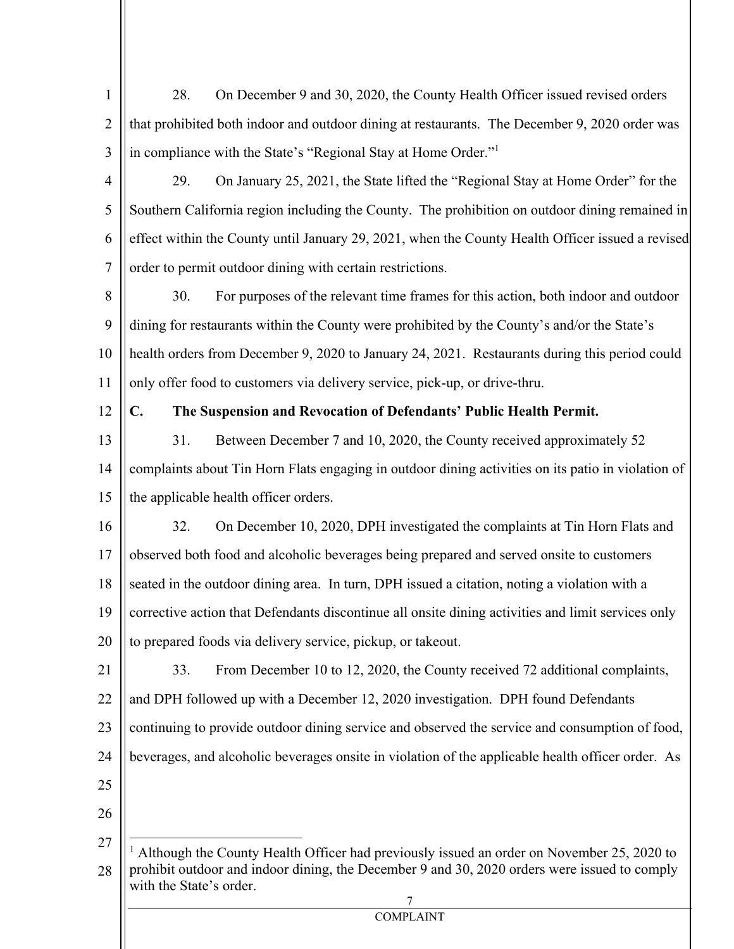| $\mathbf{1}$   | On December 9 and 30, 2020, the County Health Officer issued revised orders<br>28.                                                                                                                                   |
|----------------|----------------------------------------------------------------------------------------------------------------------------------------------------------------------------------------------------------------------|
| $\overline{2}$ | that prohibited both indoor and outdoor dining at restaurants. The December 9, 2020 order was                                                                                                                        |
| 3              | in compliance with the State's "Regional Stay at Home Order."                                                                                                                                                        |
| 4              | 29.<br>On January 25, 2021, the State lifted the "Regional Stay at Home Order" for the                                                                                                                               |
| 5              | Southern California region including the County. The prohibition on outdoor dining remained in                                                                                                                       |
| 6              | effect within the County until January 29, 2021, when the County Health Officer issued a revised                                                                                                                     |
| $\tau$         | order to permit outdoor dining with certain restrictions.                                                                                                                                                            |
| 8              | 30.<br>For purposes of the relevant time frames for this action, both indoor and outdoor                                                                                                                             |
| 9              | dining for restaurants within the County were prohibited by the County's and/or the State's                                                                                                                          |
| 10             | health orders from December 9, 2020 to January 24, 2021. Restaurants during this period could                                                                                                                        |
| 11             | only offer food to customers via delivery service, pick-up, or drive-thru.                                                                                                                                           |
| 12             | $\mathbf{C}$ .<br>The Suspension and Revocation of Defendants' Public Health Permit.                                                                                                                                 |
| 13             | Between December 7 and 10, 2020, the County received approximately 52<br>31.                                                                                                                                         |
| 14             | complaints about Tin Horn Flats engaging in outdoor dining activities on its patio in violation of                                                                                                                   |
| 15             | the applicable health officer orders.                                                                                                                                                                                |
| 16             | On December 10, 2020, DPH investigated the complaints at Tin Horn Flats and<br>32.                                                                                                                                   |
| 17             | observed both food and alcoholic beverages being prepared and served onsite to customers                                                                                                                             |
| 18             | seated in the outdoor dining area. In turn, DPH issued a citation, noting a violation with a                                                                                                                         |
| 19             | corrective action that Defendants discontinue all onsite dining activities and limit services only                                                                                                                   |
| 20             | to prepared foods via delivery service, pickup, or takeout.                                                                                                                                                          |
| 21             | From December 10 to 12, 2020, the County received 72 additional complaints,<br>33.                                                                                                                                   |
| 22             | and DPH followed up with a December 12, 2020 investigation. DPH found Defendants                                                                                                                                     |
| 23             | continuing to provide outdoor dining service and observed the service and consumption of food,                                                                                                                       |
| 24             | beverages, and alcoholic beverages onsite in violation of the applicable health officer order. As                                                                                                                    |
| 25             |                                                                                                                                                                                                                      |
| 26             |                                                                                                                                                                                                                      |
| 27<br>28       | Although the County Health Officer had previously issued an order on November 25, 2020 to<br>prohibit outdoor and indoor dining, the December 9 and 30, 2020 orders were issued to comply<br>with the State's order. |
|                | 7<br><b>COMPLAINT</b>                                                                                                                                                                                                |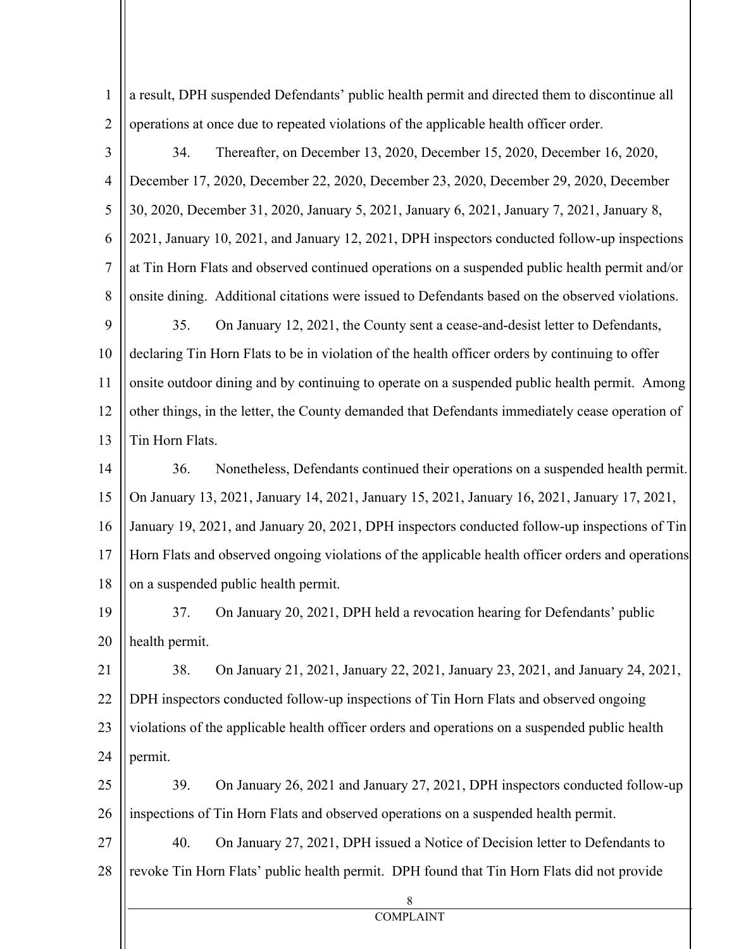8 COMPLAINT 1 2 3 4 5 6 7 8 9 10 11 12 13 14 15 16 17 18 19 20 21 22 23 24 25 26 27 28 a result, DPH suspended Defendants' public health permit and directed them to discontinue all operations at once due to repeated violations of the applicable health officer order. 34. Thereafter, on December 13, 2020, December 15, 2020, December 16, 2020, December 17, 2020, December 22, 2020, December 23, 2020, December 29, 2020, December 30, 2020, December 31, 2020, January 5, 2021, January 6, 2021, January 7, 2021, January 8, 2021, January 10, 2021, and January 12, 2021, DPH inspectors conducted follow-up inspections at Tin Horn Flats and observed continued operations on a suspended public health permit and/or onsite dining. Additional citations were issued to Defendants based on the observed violations. 35. On January 12, 2021, the County sent a cease-and-desist letter to Defendants, declaring Tin Horn Flats to be in violation of the health officer orders by continuing to offer onsite outdoor dining and by continuing to operate on a suspended public health permit. Among other things, in the letter, the County demanded that Defendants immediately cease operation of Tin Horn Flats. 36. Nonetheless, Defendants continued their operations on a suspended health permit. On January 13, 2021, January 14, 2021, January 15, 2021, January 16, 2021, January 17, 2021, January 19, 2021, and January 20, 2021, DPH inspectors conducted follow-up inspections of Tin Horn Flats and observed ongoing violations of the applicable health officer orders and operations on a suspended public health permit. 37. On January 20, 2021, DPH held a revocation hearing for Defendants' public health permit. 38. On January 21, 2021, January 22, 2021, January 23, 2021, and January 24, 2021, DPH inspectors conducted follow-up inspections of Tin Horn Flats and observed ongoing violations of the applicable health officer orders and operations on a suspended public health permit. 39. On January 26, 2021 and January 27, 2021, DPH inspectors conducted follow-up inspections of Tin Horn Flats and observed operations on a suspended health permit. 40. On January 27, 2021, DPH issued a Notice of Decision letter to Defendants to revoke Tin Horn Flats' public health permit. DPH found that Tin Horn Flats did not provide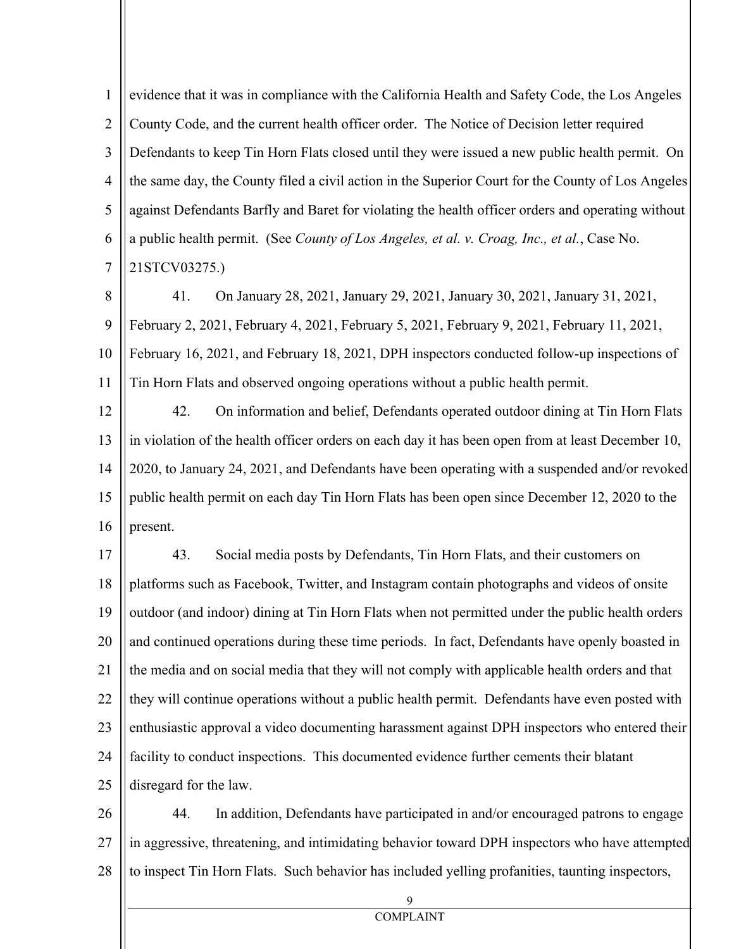1 2 3 4 5 6 7 evidence that it was in compliance with the California Health and Safety Code, the Los Angeles County Code, and the current health officer order. The Notice of Decision letter required Defendants to keep Tin Horn Flats closed until they were issued a new public health permit. On the same day, the County filed a civil action in the Superior Court for the County of Los Angeles against Defendants Barfly and Baret for violating the health officer orders and operating without a public health permit. (See *County of Los Angeles, et al. v. Croag, Inc., et al.*, Case No. 21STCV03275.)

8 9 10 11 41. On January 28, 2021, January 29, 2021, January 30, 2021, January 31, 2021, February 2, 2021, February 4, 2021, February 5, 2021, February 9, 2021, February 11, 2021, February 16, 2021, and February 18, 2021, DPH inspectors conducted follow-up inspections of Tin Horn Flats and observed ongoing operations without a public health permit.

12 13 14 15 16 42. On information and belief, Defendants operated outdoor dining at Tin Horn Flats in violation of the health officer orders on each day it has been open from at least December 10, 2020, to January 24, 2021, and Defendants have been operating with a suspended and/or revoked public health permit on each day Tin Horn Flats has been open since December 12, 2020 to the present.

17 18 19 20 21 22 23 24 25 43. Social media posts by Defendants, Tin Horn Flats, and their customers on platforms such as Facebook, Twitter, and Instagram contain photographs and videos of onsite outdoor (and indoor) dining at Tin Horn Flats when not permitted under the public health orders and continued operations during these time periods. In fact, Defendants have openly boasted in the media and on social media that they will not comply with applicable health orders and that they will continue operations without a public health permit. Defendants have even posted with enthusiastic approval a video documenting harassment against DPH inspectors who entered their facility to conduct inspections. This documented evidence further cements their blatant disregard for the law.

26 27 28 44. In addition, Defendants have participated in and/or encouraged patrons to engage in aggressive, threatening, and intimidating behavior toward DPH inspectors who have attempted to inspect Tin Horn Flats. Such behavior has included yelling profanities, taunting inspectors,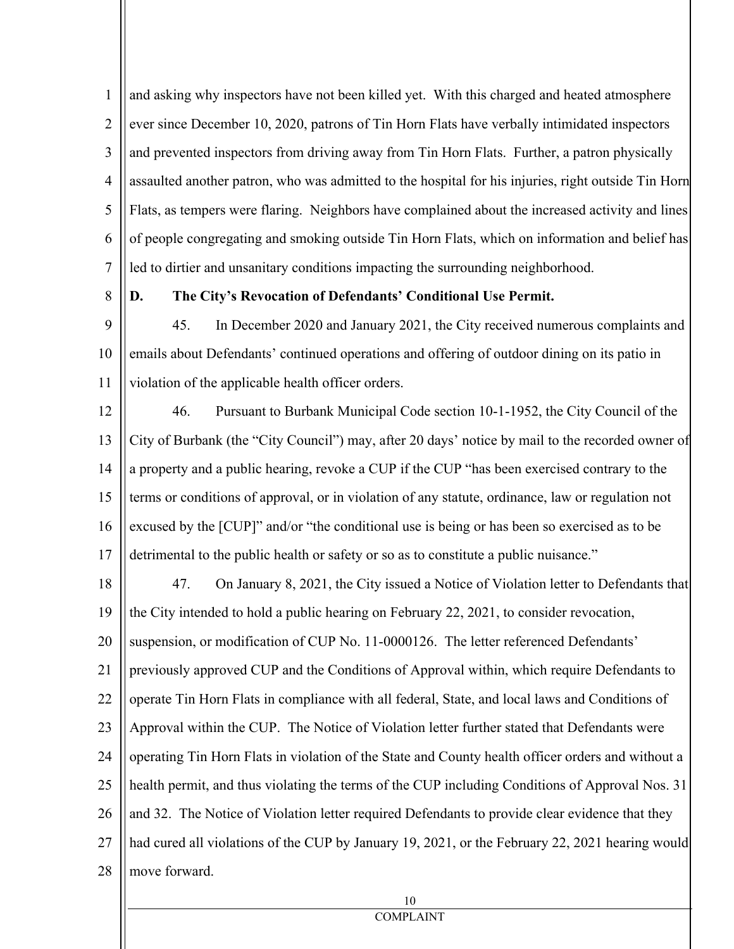1 2 3 4 5 6 7 and asking why inspectors have not been killed yet. With this charged and heated atmosphere ever since December 10, 2020, patrons of Tin Horn Flats have verbally intimidated inspectors and prevented inspectors from driving away from Tin Horn Flats. Further, a patron physically assaulted another patron, who was admitted to the hospital for his injuries, right outside Tin Horn Flats, as tempers were flaring. Neighbors have complained about the increased activity and lines of people congregating and smoking outside Tin Horn Flats, which on information and belief has led to dirtier and unsanitary conditions impacting the surrounding neighborhood.

8

## **D. The City's Revocation of Defendants' Conditional Use Permit.**

9 10 11 45. In December 2020 and January 2021, the City received numerous complaints and emails about Defendants' continued operations and offering of outdoor dining on its patio in violation of the applicable health officer orders.

12 13 14 15 16 17 46. Pursuant to Burbank Municipal Code section 10-1-1952, the City Council of the City of Burbank (the "City Council") may, after 20 days' notice by mail to the recorded owner of a property and a public hearing, revoke a CUP if the CUP "has been exercised contrary to the terms or conditions of approval, or in violation of any statute, ordinance, law or regulation not excused by the [CUP]" and/or "the conditional use is being or has been so exercised as to be detrimental to the public health or safety or so as to constitute a public nuisance."

18 19 20 21 22 23 24 25 26 27 28 47. On January 8, 2021, the City issued a Notice of Violation letter to Defendants that the City intended to hold a public hearing on February 22, 2021, to consider revocation, suspension, or modification of CUP No. 11-0000126. The letter referenced Defendants' previously approved CUP and the Conditions of Approval within, which require Defendants to operate Tin Horn Flats in compliance with all federal, State, and local laws and Conditions of Approval within the CUP. The Notice of Violation letter further stated that Defendants were operating Tin Horn Flats in violation of the State and County health officer orders and without a health permit, and thus violating the terms of the CUP including Conditions of Approval Nos. 31 and 32. The Notice of Violation letter required Defendants to provide clear evidence that they had cured all violations of the CUP by January 19, 2021, or the February 22, 2021 hearing would move forward.

10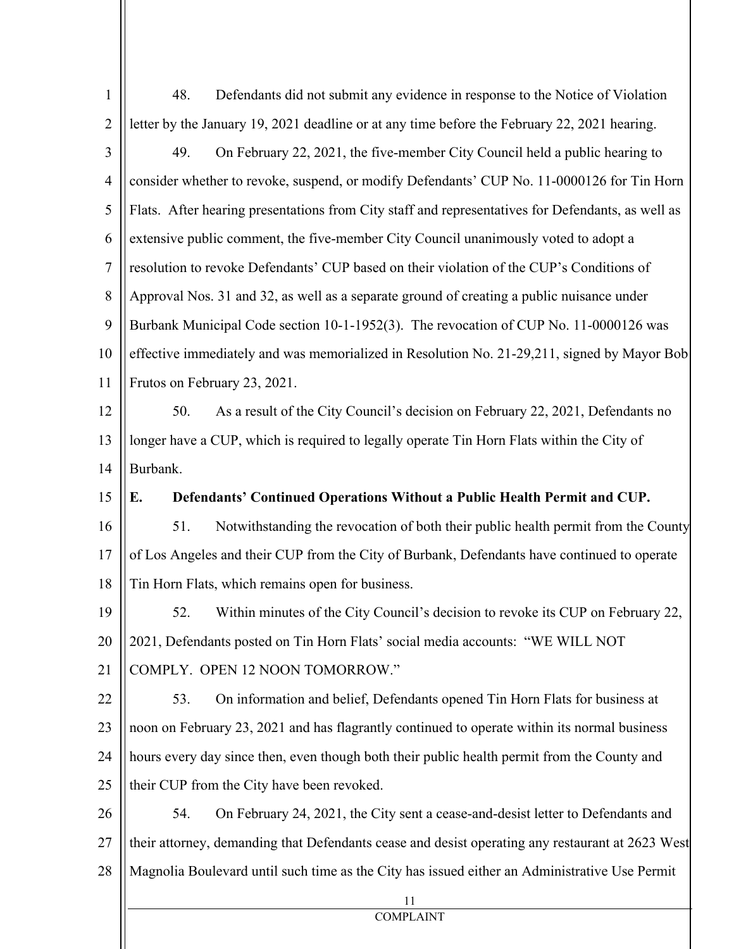| $\mathbf{1}$   | 48.<br>Defendants did not submit any evidence in response to the Notice of Violation              |
|----------------|---------------------------------------------------------------------------------------------------|
| $\overline{2}$ | letter by the January 19, 2021 deadline or at any time before the February 22, 2021 hearing.      |
| 3              | 49.<br>On February 22, 2021, the five-member City Council held a public hearing to                |
| $\overline{4}$ | consider whether to revoke, suspend, or modify Defendants' CUP No. 11-0000126 for Tin Horn        |
| 5              | Flats. After hearing presentations from City staff and representatives for Defendants, as well as |
| 6              | extensive public comment, the five-member City Council unanimously voted to adopt a               |
| 7              | resolution to revoke Defendants' CUP based on their violation of the CUP's Conditions of          |
| 8              | Approval Nos. 31 and 32, as well as a separate ground of creating a public nuisance under         |
| 9              | Burbank Municipal Code section 10-1-1952(3). The revocation of CUP No. 11-0000126 was             |
| 10             | effective immediately and was memorialized in Resolution No. 21-29,211, signed by Mayor Bob       |
| 11             | Frutos on February 23, 2021.                                                                      |
| 12             | 50.<br>As a result of the City Council's decision on February 22, 2021, Defendants no             |
| 13             | longer have a CUP, which is required to legally operate Tin Horn Flats within the City of         |
| 14             | Burbank.                                                                                          |
| 15             | Defendants' Continued Operations Without a Public Health Permit and CUP.<br>E.                    |
| 16             | Notwithstanding the revocation of both their public health permit from the County<br>51.          |
| 17             | of Los Angeles and their CUP from the City of Burbank, Defendants have continued to operate       |
| 18             | Tin Horn Flats, which remains open for business.                                                  |
| 19             | 52.<br>Within minutes of the City Council's decision to revoke its CUP on February 22,            |
| 20             | 2021, Defendants posted on Tin Horn Flats' social media accounts: "WE WILL NOT                    |
| 21             | COMPLY. OPEN 12 NOON TOMORROW."                                                                   |
| 22             | On information and belief, Defendants opened Tin Horn Flats for business at<br>53.                |
| 23             | noon on February 23, 2021 and has flagrantly continued to operate within its normal business      |
| 24             | hours every day since then, even though both their public health permit from the County and       |
| 25             | their CUP from the City have been revoked.                                                        |
| 26             | On February 24, 2021, the City sent a cease-and-desist letter to Defendants and<br>54.            |
| 27             | their attorney, demanding that Defendants cease and desist operating any restaurant at 2623 West  |
| 28             | Magnolia Boulevard until such time as the City has issued either an Administrative Use Permit     |
|                | 11<br><b>COMPLAINT</b>                                                                            |
|                |                                                                                                   |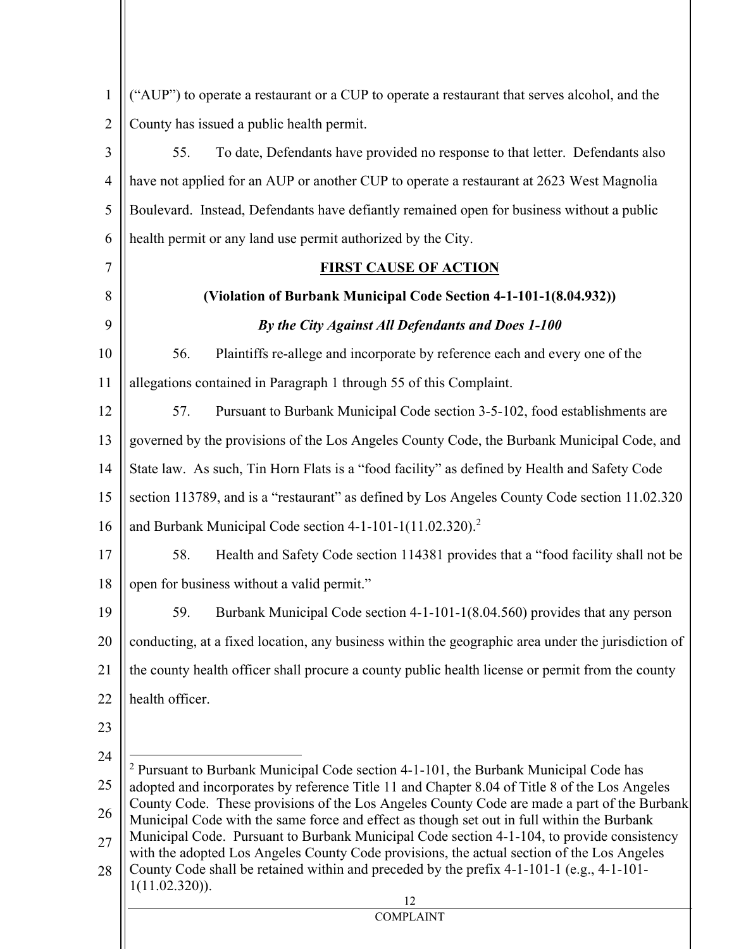| ("AUP") to operate a restaurant or a CUP to operate a restaurant that serves alcohol, and the                                                                                                                                                                                                                                                                                                                                                                                                                                                                                                                                                                                                                     |
|-------------------------------------------------------------------------------------------------------------------------------------------------------------------------------------------------------------------------------------------------------------------------------------------------------------------------------------------------------------------------------------------------------------------------------------------------------------------------------------------------------------------------------------------------------------------------------------------------------------------------------------------------------------------------------------------------------------------|
| County has issued a public health permit.                                                                                                                                                                                                                                                                                                                                                                                                                                                                                                                                                                                                                                                                         |
| To date, Defendants have provided no response to that letter. Defendants also<br>55.                                                                                                                                                                                                                                                                                                                                                                                                                                                                                                                                                                                                                              |
| have not applied for an AUP or another CUP to operate a restaurant at 2623 West Magnolia                                                                                                                                                                                                                                                                                                                                                                                                                                                                                                                                                                                                                          |
| Boulevard. Instead, Defendants have defiantly remained open for business without a public                                                                                                                                                                                                                                                                                                                                                                                                                                                                                                                                                                                                                         |
| health permit or any land use permit authorized by the City.                                                                                                                                                                                                                                                                                                                                                                                                                                                                                                                                                                                                                                                      |
| <b>FIRST CAUSE OF ACTION</b>                                                                                                                                                                                                                                                                                                                                                                                                                                                                                                                                                                                                                                                                                      |
| (Violation of Burbank Municipal Code Section 4-1-101-1(8.04.932))                                                                                                                                                                                                                                                                                                                                                                                                                                                                                                                                                                                                                                                 |
| By the City Against All Defendants and Does 1-100                                                                                                                                                                                                                                                                                                                                                                                                                                                                                                                                                                                                                                                                 |
| 56.<br>Plaintiffs re-allege and incorporate by reference each and every one of the                                                                                                                                                                                                                                                                                                                                                                                                                                                                                                                                                                                                                                |
| allegations contained in Paragraph 1 through 55 of this Complaint.                                                                                                                                                                                                                                                                                                                                                                                                                                                                                                                                                                                                                                                |
| Pursuant to Burbank Municipal Code section 3-5-102, food establishments are<br>57.                                                                                                                                                                                                                                                                                                                                                                                                                                                                                                                                                                                                                                |
| governed by the provisions of the Los Angeles County Code, the Burbank Municipal Code, and                                                                                                                                                                                                                                                                                                                                                                                                                                                                                                                                                                                                                        |
| State law. As such, Tin Horn Flats is a "food facility" as defined by Health and Safety Code                                                                                                                                                                                                                                                                                                                                                                                                                                                                                                                                                                                                                      |
| section 113789, and is a "restaurant" as defined by Los Angeles County Code section 11.02.320                                                                                                                                                                                                                                                                                                                                                                                                                                                                                                                                                                                                                     |
| and Burbank Municipal Code section $4-1-101-1(11.02.320).2$                                                                                                                                                                                                                                                                                                                                                                                                                                                                                                                                                                                                                                                       |
| 58.<br>Health and Safety Code section 114381 provides that a "food facility shall not be                                                                                                                                                                                                                                                                                                                                                                                                                                                                                                                                                                                                                          |
| open for business without a valid permit."                                                                                                                                                                                                                                                                                                                                                                                                                                                                                                                                                                                                                                                                        |
| 59.<br>Burbank Municipal Code section 4-1-101-1(8.04.560) provides that any person                                                                                                                                                                                                                                                                                                                                                                                                                                                                                                                                                                                                                                |
| conducting, at a fixed location, any business within the geographic area under the jurisdiction of                                                                                                                                                                                                                                                                                                                                                                                                                                                                                                                                                                                                                |
| the county health officer shall procure a county public health license or permit from the county                                                                                                                                                                                                                                                                                                                                                                                                                                                                                                                                                                                                                  |
| health officer.                                                                                                                                                                                                                                                                                                                                                                                                                                                                                                                                                                                                                                                                                                   |
|                                                                                                                                                                                                                                                                                                                                                                                                                                                                                                                                                                                                                                                                                                                   |
| <sup>2</sup> Pursuant to Burbank Municipal Code section 4-1-101, the Burbank Municipal Code has<br>adopted and incorporates by reference Title 11 and Chapter 8.04 of Title 8 of the Los Angeles<br>County Code. These provisions of the Los Angeles County Code are made a part of the Burbank<br>Municipal Code with the same force and effect as though set out in full within the Burbank<br>Municipal Code. Pursuant to Burbank Municipal Code section 4-1-104, to provide consistency<br>with the adopted Los Angeles County Code provisions, the actual section of the Los Angeles<br>County Code shall be retained within and preceded by the prefix 4-1-101-1 (e.g., 4-1-101-<br>$1(11.02.320)$ ).<br>12 |
| <b>COMPLAINT</b>                                                                                                                                                                                                                                                                                                                                                                                                                                                                                                                                                                                                                                                                                                  |

 $\begin{array}{c} \hline \end{array}$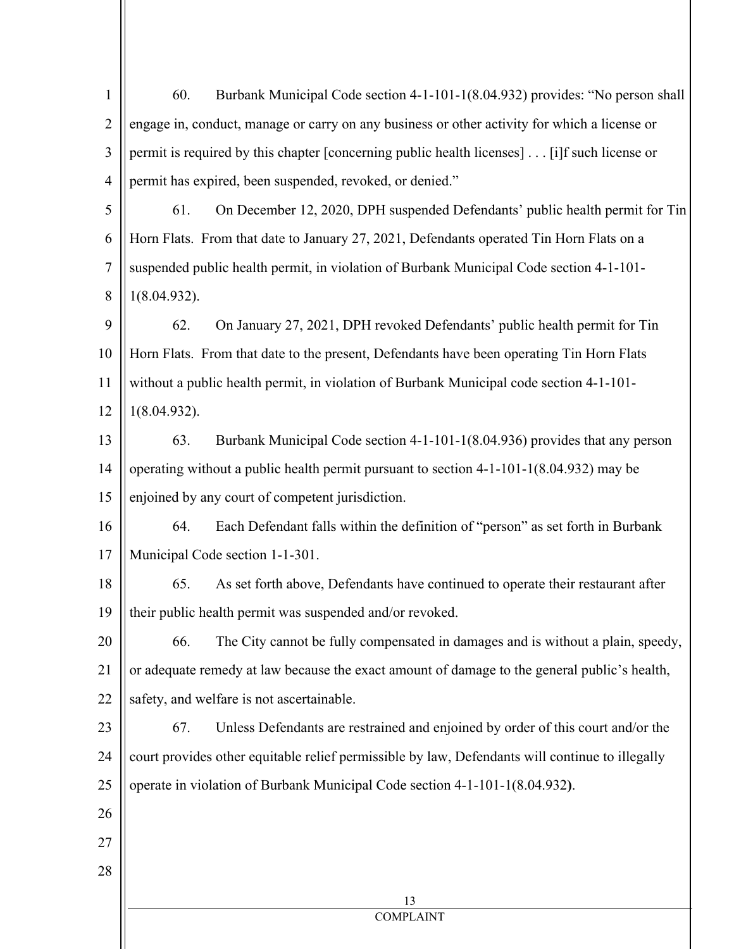| $\mathbf{1}$   | Burbank Municipal Code section 4-1-101-1(8.04.932) provides: "No person shall<br>60.            |  |
|----------------|-------------------------------------------------------------------------------------------------|--|
| $\overline{2}$ | engage in, conduct, manage or carry on any business or other activity for which a license or    |  |
| 3              | permit is required by this chapter [concerning public health licenses] [i]f such license or     |  |
| $\overline{4}$ | permit has expired, been suspended, revoked, or denied."                                        |  |
| 5              | On December 12, 2020, DPH suspended Defendants' public health permit for Tin<br>61.             |  |
| 6              | Horn Flats. From that date to January 27, 2021, Defendants operated Tin Horn Flats on a         |  |
| $\tau$         | suspended public health permit, in violation of Burbank Municipal Code section 4-1-101-         |  |
| 8              | 1(8.04.932).                                                                                    |  |
| 9              | On January 27, 2021, DPH revoked Defendants' public health permit for Tin<br>62.                |  |
| 10             | Horn Flats. From that date to the present, Defendants have been operating Tin Horn Flats        |  |
| 11             | without a public health permit, in violation of Burbank Municipal code section 4-1-101-         |  |
| 12             | 1(8.04.932).                                                                                    |  |
| 13             | Burbank Municipal Code section 4-1-101-1(8.04.936) provides that any person<br>63.              |  |
| 14             | operating without a public health permit pursuant to section 4-1-101-1(8.04.932) may be         |  |
| 15             | enjoined by any court of competent jurisdiction.                                                |  |
| 16             | Each Defendant falls within the definition of "person" as set forth in Burbank<br>64.           |  |
| 17             | Municipal Code section 1-1-301.                                                                 |  |
| 18             | As set forth above, Defendants have continued to operate their restaurant after<br>65.          |  |
| 19             | their public health permit was suspended and/or revoked.                                        |  |
| 20             | The City cannot be fully compensated in damages and is without a plain, speedy,<br>66.          |  |
| 21             | or adequate remedy at law because the exact amount of damage to the general public's health,    |  |
| 22             | safety, and welfare is not ascertainable.                                                       |  |
| 23             | 67.<br>Unless Defendants are restrained and enjoined by order of this court and/or the          |  |
| 24             | court provides other equitable relief permissible by law, Defendants will continue to illegally |  |
| 25             | operate in violation of Burbank Municipal Code section 4-1-101-1(8.04.932).                     |  |
| 26             |                                                                                                 |  |
| 27             |                                                                                                 |  |
| 28             |                                                                                                 |  |
|                | 13                                                                                              |  |
|                | <b>COMPLAINT</b>                                                                                |  |
|                |                                                                                                 |  |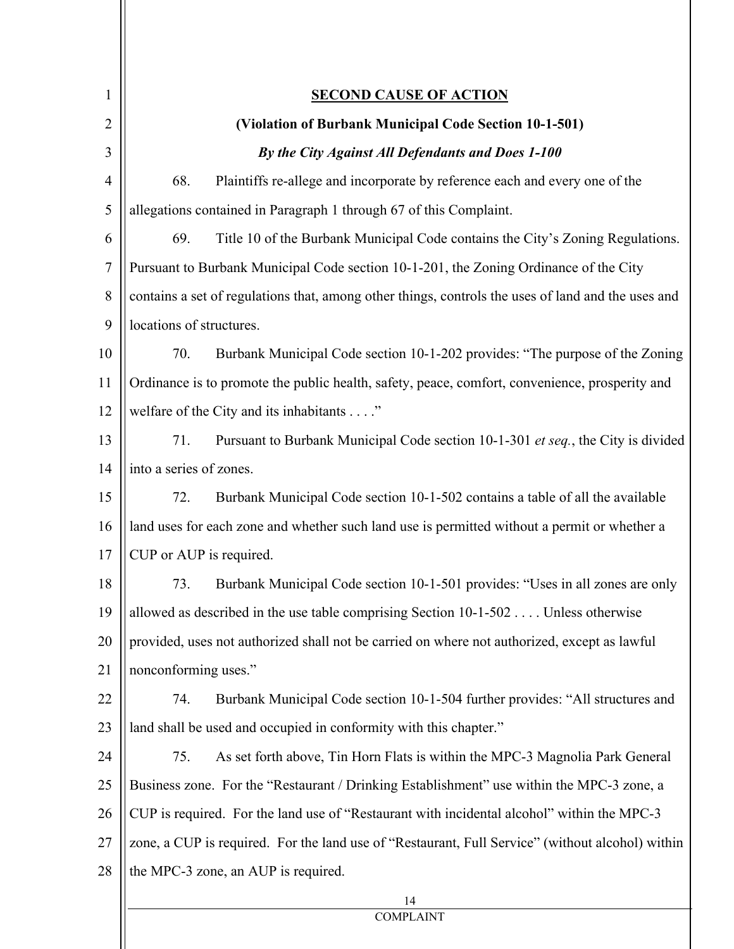| $\mathbf{1}$   | <b>SECOND CAUSE OF ACTION</b>                                                                      |
|----------------|----------------------------------------------------------------------------------------------------|
| $\overline{2}$ | (Violation of Burbank Municipal Code Section 10-1-501)                                             |
| 3              | By the City Against All Defendants and Does 1-100                                                  |
| $\overline{4}$ | Plaintiffs re-allege and incorporate by reference each and every one of the<br>68.                 |
| 5              | allegations contained in Paragraph 1 through 67 of this Complaint.                                 |
| 6              | 69.<br>Title 10 of the Burbank Municipal Code contains the City's Zoning Regulations.              |
| $\overline{7}$ | Pursuant to Burbank Municipal Code section 10-1-201, the Zoning Ordinance of the City              |
| 8              | contains a set of regulations that, among other things, controls the uses of land and the uses and |
| 9              | locations of structures.                                                                           |
| 10             | Burbank Municipal Code section 10-1-202 provides: "The purpose of the Zoning<br>70.                |
| 11             | Ordinance is to promote the public health, safety, peace, comfort, convenience, prosperity and     |
| 12             | welfare of the City and its inhabitants"                                                           |
| 13             | 71.<br>Pursuant to Burbank Municipal Code section 10-1-301 et seq., the City is divided            |
| 14             | into a series of zones.                                                                            |
| 15             | 72.<br>Burbank Municipal Code section 10-1-502 contains a table of all the available               |
| 16             | land uses for each zone and whether such land use is permitted without a permit or whether a       |
| 17             | CUP or AUP is required.                                                                            |
| 18             | Burbank Municipal Code section 10-1-501 provides: "Uses in all zones are only<br>73.               |
| 19             | allowed as described in the use table comprising Section 10-1-502  Unless otherwise                |
| 20             | provided, uses not authorized shall not be carried on where not authorized, except as lawful       |
| 21             | nonconforming uses."                                                                               |
| 22             | 74.<br>Burbank Municipal Code section 10-1-504 further provides: "All structures and               |
| 23             | land shall be used and occupied in conformity with this chapter."                                  |
| 24             | 75.<br>As set forth above, Tin Horn Flats is within the MPC-3 Magnolia Park General                |
| 25             | Business zone. For the "Restaurant / Drinking Establishment" use within the MPC-3 zone, a          |
| 26             | CUP is required. For the land use of "Restaurant with incidental alcohol" within the MPC-3         |
| 27             | zone, a CUP is required. For the land use of "Restaurant, Full Service" (without alcohol) within   |
| 28             | the MPC-3 zone, an AUP is required.                                                                |
|                | 14                                                                                                 |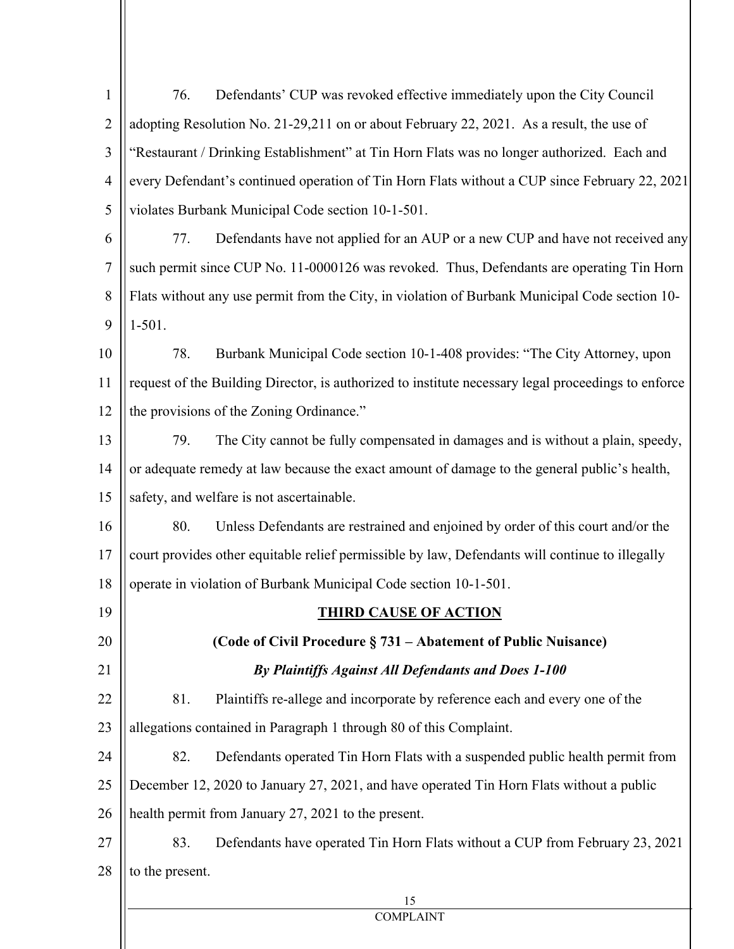| $\mathbf{1}$   | Defendants' CUP was revoked effective immediately upon the City Council<br>76.                      |
|----------------|-----------------------------------------------------------------------------------------------------|
| $\overline{2}$ | adopting Resolution No. 21-29,211 on or about February 22, 2021. As a result, the use of            |
| 3              | "Restaurant / Drinking Establishment" at Tin Horn Flats was no longer authorized. Each and          |
| $\overline{4}$ | every Defendant's continued operation of Tin Horn Flats without a CUP since February 22, 2021       |
| 5              | violates Burbank Municipal Code section 10-1-501.                                                   |
| 6              | 77.<br>Defendants have not applied for an AUP or a new CUP and have not received any                |
| 7              | such permit since CUP No. 11-0000126 was revoked. Thus, Defendants are operating Tin Horn           |
| 8              | Flats without any use permit from the City, in violation of Burbank Municipal Code section 10-      |
| 9              | $1-501.$                                                                                            |
| 10             | 78.<br>Burbank Municipal Code section 10-1-408 provides: "The City Attorney, upon                   |
| 11             | request of the Building Director, is authorized to institute necessary legal proceedings to enforce |
| 12             | the provisions of the Zoning Ordinance."                                                            |
| 13             | The City cannot be fully compensated in damages and is without a plain, speedy,<br>79.              |
| 14             | or adequate remedy at law because the exact amount of damage to the general public's health,        |
| 15             | safety, and welfare is not ascertainable.                                                           |
| 16             | 80.<br>Unless Defendants are restrained and enjoined by order of this court and/or the              |
| 17             | court provides other equitable relief permissible by law, Defendants will continue to illegally     |
| 18             | operate in violation of Burbank Municipal Code section 10-1-501.                                    |
| 19             | <b>THIRD CAUSE OF ACTION</b>                                                                        |
| 20             | (Code of Civil Procedure § 731 – Abatement of Public Nuisance)                                      |
| 21             | By Plaintiffs Against All Defendants and Does 1-100                                                 |
| 22             | 81.<br>Plaintiffs re-allege and incorporate by reference each and every one of the                  |
| 23             | allegations contained in Paragraph 1 through 80 of this Complaint.                                  |
| 24             | 82.<br>Defendants operated Tin Horn Flats with a suspended public health permit from                |
| 25             | December 12, 2020 to January 27, 2021, and have operated Tin Horn Flats without a public            |
| 26             | health permit from January 27, 2021 to the present.                                                 |
| 27             | Defendants have operated Tin Horn Flats without a CUP from February 23, 2021<br>83.                 |
| 28             | to the present.                                                                                     |
|                | 15                                                                                                  |

# **COMPLAINT**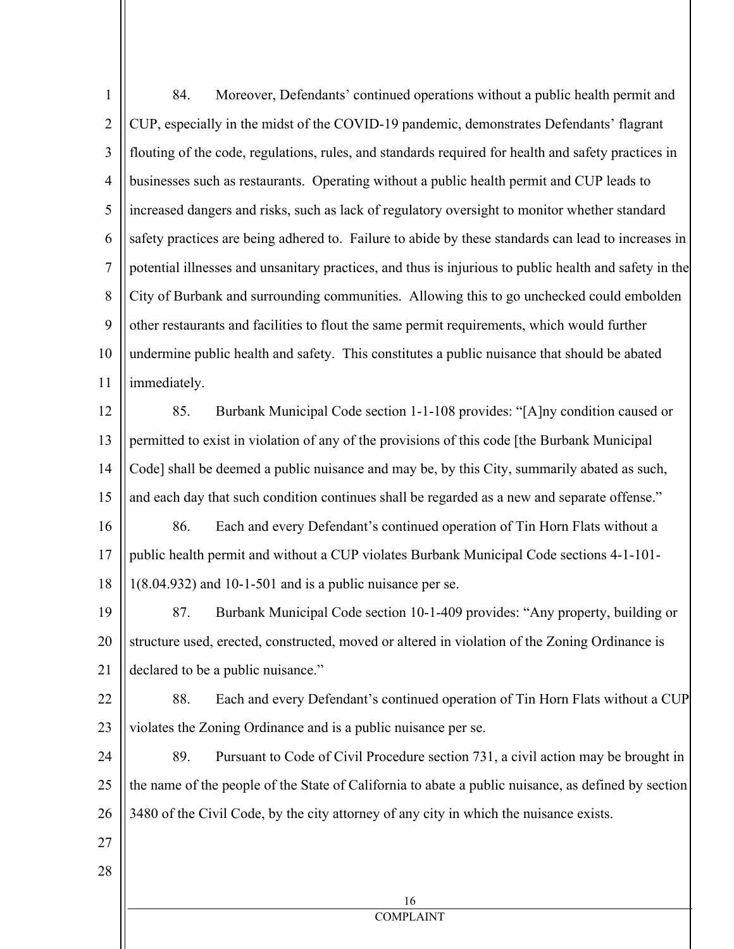| $\mathbf{1}$   | Moreover, Defendants' continued operations without a public health permit and<br>84.                   |
|----------------|--------------------------------------------------------------------------------------------------------|
| $\overline{2}$ | CUP, especially in the midst of the COVID-19 pandemic, demonstrates Defendants' flagrant               |
| 3              | flouting of the code, regulations, rules, and standards required for health and safety practices in    |
| $\overline{4}$ | businesses such as restaurants. Operating without a public health permit and CUP leads to              |
| 5              | increased dangers and risks, such as lack of regulatory oversight to monitor whether standard          |
| 6              | safety practices are being adhered to. Failure to abide by these standards can lead to increases in    |
| $\overline{7}$ | potential illnesses and unsanitary practices, and thus is injurious to public health and safety in the |
| 8              | City of Burbank and surrounding communities. Allowing this to go unchecked could embolden              |
| 9              | other restaurants and facilities to flout the same permit requirements, which would further            |
| 10             | undermine public health and safety. This constitutes a public nuisance that should be abated           |
| 11             | immediately.                                                                                           |
| 12             | Burbank Municipal Code section 1-1-108 provides: "[A]ny condition caused or<br>85.                     |
| 13             | permitted to exist in violation of any of the provisions of this code [the Burbank Municipal           |
| 14             | Code] shall be deemed a public nuisance and may be, by this City, summarily abated as such,            |
| 15             | and each day that such condition continues shall be regarded as a new and separate offense."           |
| 16             | Each and every Defendant's continued operation of Tin Horn Flats without a<br>86.                      |
| 17             | public health permit and without a CUP violates Burbank Municipal Code sections 4-1-101-               |
| 18             | $1(8.04.932)$ and $10-1-501$ and is a public nuisance per se.                                          |
| 19             | Burbank Municipal Code section 10-1-409 provides: "Any property, building or<br>87.                    |
| 20             | structure used, erected, constructed, moved or altered in violation of the Zoning Ordinance is         |
| 21             | declared to be a public nuisance."                                                                     |
| 22             | 88.<br>Each and every Defendant's continued operation of Tin Horn Flats without a CUP                  |
| 23             | violates the Zoning Ordinance and is a public nuisance per se.                                         |
| 24             | 89.<br>Pursuant to Code of Civil Procedure section 731, a civil action may be brought in               |
| 25             | the name of the people of the State of California to abate a public nuisance, as defined by section    |
| 26             | 3480 of the Civil Code, by the city attorney of any city in which the nuisance exists.                 |
| 27             |                                                                                                        |
| 28             |                                                                                                        |
|                | 16                                                                                                     |
|                | <b>COMPLAINT</b>                                                                                       |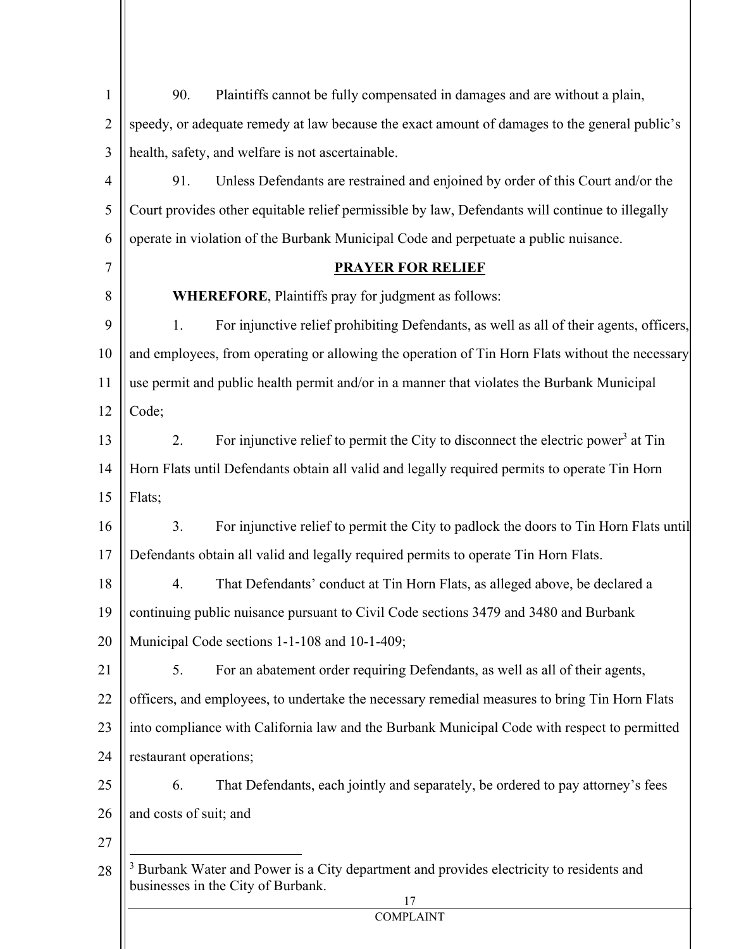| $\mathbf{1}$   | Plaintiffs cannot be fully compensated in damages and are without a plain,<br>90.                                                               |
|----------------|-------------------------------------------------------------------------------------------------------------------------------------------------|
| $\overline{2}$ | speedy, or adequate remedy at law because the exact amount of damages to the general public's                                                   |
| 3              | health, safety, and welfare is not ascertainable.                                                                                               |
| 4              | Unless Defendants are restrained and enjoined by order of this Court and/or the<br>91.                                                          |
| 5              | Court provides other equitable relief permissible by law, Defendants will continue to illegally                                                 |
| 6              | operate in violation of the Burbank Municipal Code and perpetuate a public nuisance.                                                            |
| 7              | <b>PRAYER FOR RELIEF</b>                                                                                                                        |
| 8              | <b>WHEREFORE, Plaintiffs pray for judgment as follows:</b>                                                                                      |
| 9              | For injunctive relief prohibiting Defendants, as well as all of their agents, officers,<br>1.                                                   |
| 10             | and employees, from operating or allowing the operation of Tin Horn Flats without the necessary                                                 |
| 11             | use permit and public health permit and/or in a manner that violates the Burbank Municipal                                                      |
| 12             | Code;                                                                                                                                           |
| 13             | For injunctive relief to permit the City to disconnect the electric power <sup>3</sup> at Tin<br>2.                                             |
| 14             | Horn Flats until Defendants obtain all valid and legally required permits to operate Tin Horn                                                   |
| 15             | Flats;                                                                                                                                          |
| 16             | 3.<br>For injunctive relief to permit the City to padlock the doors to Tin Horn Flats until                                                     |
| 17             | Defendants obtain all valid and legally required permits to operate Tin Horn Flats.                                                             |
| 18             | That Defendants' conduct at Tin Horn Flats, as alleged above, be declared a<br>4.                                                               |
| 19             | continuing public nuisance pursuant to Civil Code sections 3479 and 3480 and Burbank                                                            |
| 20             | Municipal Code sections 1-1-108 and 10-1-409;                                                                                                   |
| 21             | 5.<br>For an abatement order requiring Defendants, as well as all of their agents,                                                              |
| 22             | officers, and employees, to undertake the necessary remedial measures to bring Tin Horn Flats                                                   |
| 23             | into compliance with California law and the Burbank Municipal Code with respect to permitted                                                    |
| 24             | restaurant operations;                                                                                                                          |
| 25             | That Defendants, each jointly and separately, be ordered to pay attorney's fees<br>6.                                                           |
| 26             | and costs of suit; and                                                                                                                          |
| 27             |                                                                                                                                                 |
| 28             | <sup>3</sup> Burbank Water and Power is a City department and provides electricity to residents and<br>businesses in the City of Burbank.<br>17 |
|                | <b>COMPLAINT</b>                                                                                                                                |
|                |                                                                                                                                                 |